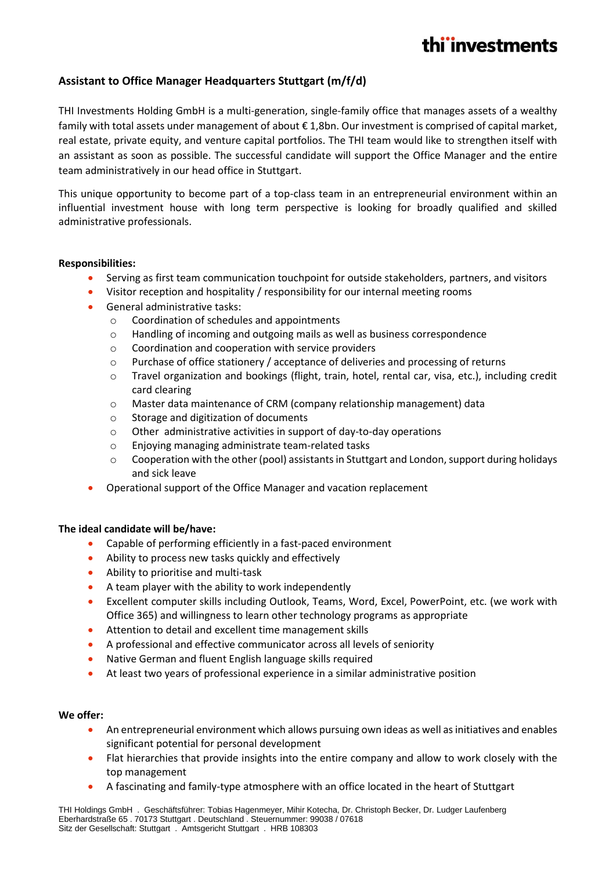# thi'investments

### **Assistant to Office Manager Headquarters Stuttgart (m/f/d)**

THI Investments Holding GmbH is a multi-generation, single-family office that manages assets of a wealthy family with total assets under management of about € 1,8bn. Our investment is comprised of capital market, real estate, private equity, and venture capital portfolios. The THI team would like to strengthen itself with an assistant as soon as possible. The successful candidate will support the Office Manager and the entire team administratively in our head office in Stuttgart.

This unique opportunity to become part of a top-class team in an entrepreneurial environment within an influential investment house with long term perspective is looking for broadly qualified and skilled administrative professionals.

#### **Responsibilities:**

- Serving as first team communication touchpoint for outside stakeholders, partners, and visitors
- Visitor reception and hospitality / responsibility for our internal meeting rooms
- General administrative tasks:
	- o Coordination of schedules and appointments
	- o Handling of incoming and outgoing mails as well as business correspondence
	- o Coordination and cooperation with service providers
	- o Purchase of office stationery / acceptance of deliveries and processing of returns
	- o Travel organization and bookings (flight, train, hotel, rental car, visa, etc.), including credit card clearing
	- o Master data maintenance of CRM (company relationship management) data
	- o Storage and digitization of documents
	- $\circ$  Other administrative activities in support of day-to-day operations
	- o Enjoying managing administrate team-related tasks
	- o Cooperation with the other (pool) assistants in Stuttgart and London, support during holidays and sick leave
- Operational support of the Office Manager and vacation replacement

#### **The ideal candidate will be/have:**

- Capable of performing efficiently in a fast-paced environment
- Ability to process new tasks quickly and effectively
- Ability to prioritise and multi-task
- A team player with the ability to work independently
- Excellent computer skills including Outlook, Teams, Word, Excel, PowerPoint, etc. (we work with Office 365) and willingness to learn other technology programs as appropriate
- Attention to detail and excellent time management skills
- A professional and effective communicator across all levels of seniority
- Native German and fluent English language skills required
- At least two years of professional experience in a similar administrative position

#### **We offer:**

- An entrepreneurial environment which allows pursuing own ideas as well as initiatives and enables significant potential for personal development
- Flat hierarchies that provide insights into the entire company and allow to work closely with the top management
- A fascinating and family-type atmosphere with an office located in the heart of Stuttgart